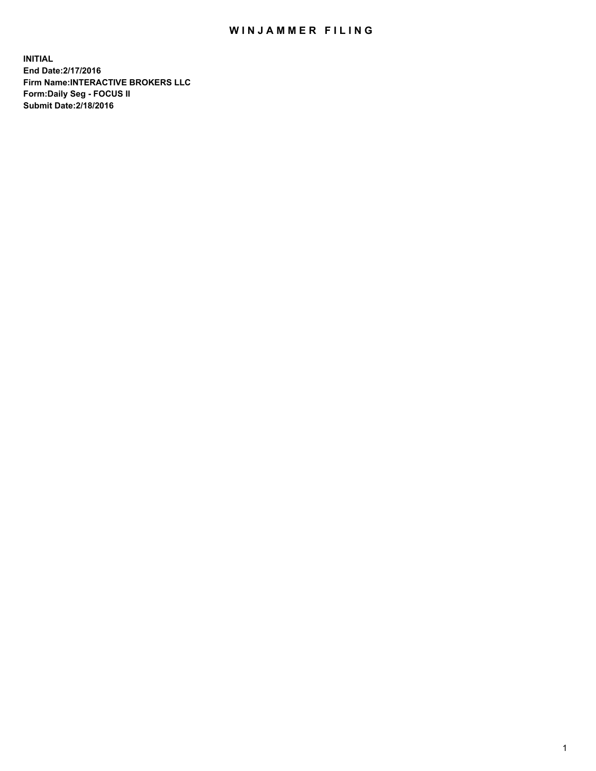## WIN JAMMER FILING

**INITIAL End Date:2/17/2016 Firm Name:INTERACTIVE BROKERS LLC Form:Daily Seg - FOCUS II Submit Date:2/18/2016**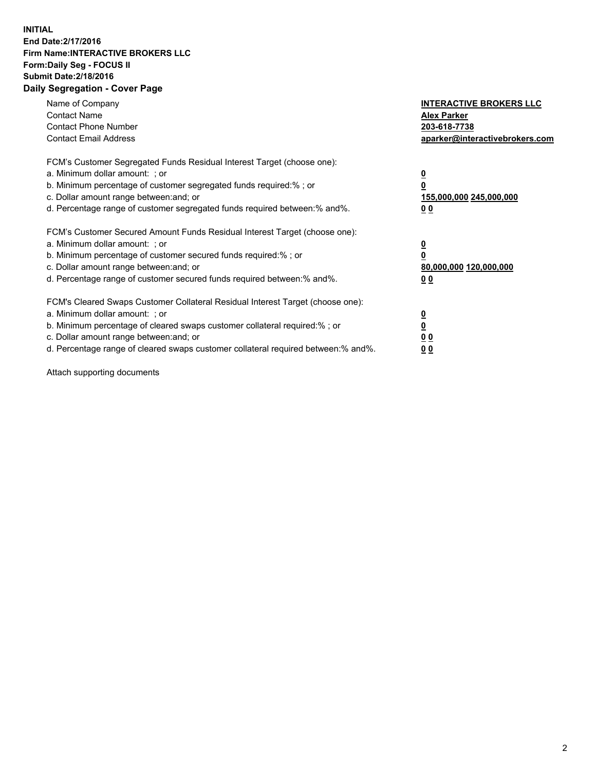## **INITIAL End Date:2/17/2016 Firm Name:INTERACTIVE BROKERS LLC Form:Daily Seg - FOCUS II Submit Date:2/18/2016 Daily Segregation - Cover Page**

| Name of Company<br><b>Contact Name</b><br><b>Contact Phone Number</b><br><b>Contact Email Address</b>                                                                                                                                                                                                                          | <b>INTERACTIVE BROKERS LLC</b><br><b>Alex Parker</b><br>203-618-7738<br>aparker@interactivebrokers.com |
|--------------------------------------------------------------------------------------------------------------------------------------------------------------------------------------------------------------------------------------------------------------------------------------------------------------------------------|--------------------------------------------------------------------------------------------------------|
| FCM's Customer Segregated Funds Residual Interest Target (choose one):<br>a. Minimum dollar amount: ; or<br>b. Minimum percentage of customer segregated funds required:%; or<br>c. Dollar amount range between: and; or<br>d. Percentage range of customer segregated funds required between:% and%.                          | <u>0</u><br>155,000,000 245,000,000<br><u>0 0</u>                                                      |
| FCM's Customer Secured Amount Funds Residual Interest Target (choose one):<br>a. Minimum dollar amount: ; or<br>b. Minimum percentage of customer secured funds required:% ; or<br>c. Dollar amount range between: and; or<br>d. Percentage range of customer secured funds required between:% and%.                           | <u>0</u><br>80,000,000 120,000,000<br><u>0 0</u>                                                       |
| FCM's Cleared Swaps Customer Collateral Residual Interest Target (choose one):<br>a. Minimum dollar amount: ; or<br>b. Minimum percentage of cleared swaps customer collateral required:% ; or<br>c. Dollar amount range between: and; or<br>d. Percentage range of cleared swaps customer collateral required between:% and%. | <u>0</u><br>0 <sub>0</sub><br>0 <sub>0</sub>                                                           |

Attach supporting documents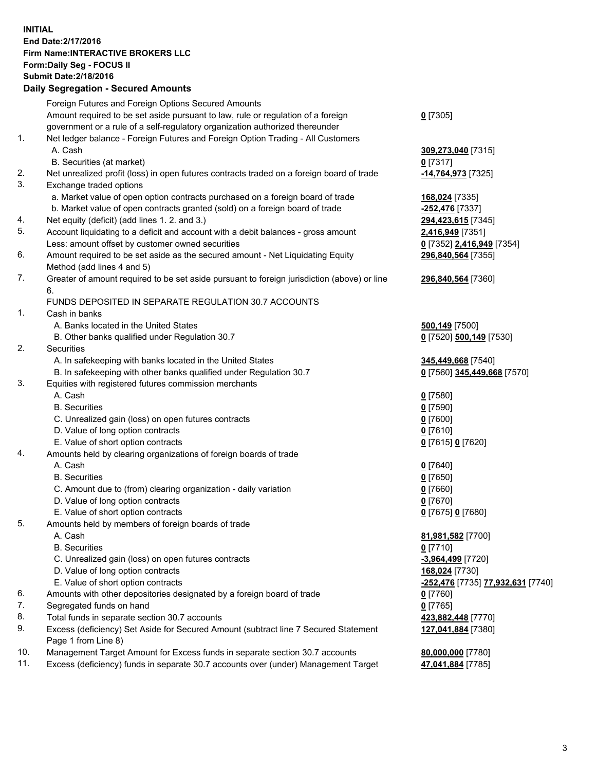## **INITIAL End Date:2/17/2016 Firm Name:INTERACTIVE BROKERS LLC Form:Daily Seg - FOCUS II Submit Date:2/18/2016 Daily Segregation - Secured Amounts**

|     | Foreign Futures and Foreign Options Secured Amounts                                         |                                                             |
|-----|---------------------------------------------------------------------------------------------|-------------------------------------------------------------|
|     | Amount required to be set aside pursuant to law, rule or regulation of a foreign            | $0$ [7305]                                                  |
|     | government or a rule of a self-regulatory organization authorized thereunder                |                                                             |
| 1.  | Net ledger balance - Foreign Futures and Foreign Option Trading - All Customers             |                                                             |
|     | A. Cash                                                                                     | 309,273,040 [7315]                                          |
|     | B. Securities (at market)                                                                   | $0$ [7317]                                                  |
| 2.  | Net unrealized profit (loss) in open futures contracts traded on a foreign board of trade   | -14,764,973 [7325]                                          |
| 3.  | Exchange traded options                                                                     |                                                             |
|     | a. Market value of open option contracts purchased on a foreign board of trade              | 168,024 [7335]                                              |
|     | b. Market value of open contracts granted (sold) on a foreign board of trade                | -252,476 [7337]                                             |
| 4.  | Net equity (deficit) (add lines 1.2. and 3.)                                                | 294,423,615 [7345]                                          |
| 5.  | Account liquidating to a deficit and account with a debit balances - gross amount           | 2,416,949 [7351]                                            |
|     | Less: amount offset by customer owned securities                                            | 0 [7352] 2,416,949 [7354]                                   |
| 6.  | Amount required to be set aside as the secured amount - Net Liquidating Equity              |                                                             |
|     |                                                                                             | 296,840,564 [7355]                                          |
|     | Method (add lines 4 and 5)                                                                  |                                                             |
| 7.  | Greater of amount required to be set aside pursuant to foreign jurisdiction (above) or line | 296,840,564 [7360]                                          |
|     | 6.                                                                                          |                                                             |
|     | FUNDS DEPOSITED IN SEPARATE REGULATION 30.7 ACCOUNTS                                        |                                                             |
| 1.  | Cash in banks                                                                               |                                                             |
|     | A. Banks located in the United States                                                       | 500,149 [7500]                                              |
|     | B. Other banks qualified under Regulation 30.7                                              | 0 [7520] 500,149 [7530]                                     |
| 2.  | Securities                                                                                  |                                                             |
|     | A. In safekeeping with banks located in the United States                                   | 345,449,668 [7540]                                          |
|     | B. In safekeeping with other banks qualified under Regulation 30.7                          | 0 [7560] 345,449,668 [7570]                                 |
| 3.  | Equities with registered futures commission merchants                                       |                                                             |
|     | A. Cash                                                                                     | $0$ [7580]                                                  |
|     | <b>B.</b> Securities                                                                        | $0$ [7590]                                                  |
|     | C. Unrealized gain (loss) on open futures contracts                                         | $0$ [7600]                                                  |
|     | D. Value of long option contracts                                                           | $0$ [7610]                                                  |
|     | E. Value of short option contracts                                                          | 0 [7615] 0 [7620]                                           |
| 4.  | Amounts held by clearing organizations of foreign boards of trade                           |                                                             |
|     | A. Cash                                                                                     | $0$ [7640]                                                  |
|     | <b>B.</b> Securities                                                                        | $0$ [7650]                                                  |
|     | C. Amount due to (from) clearing organization - daily variation                             | $0$ [7660]                                                  |
|     | D. Value of long option contracts                                                           | $0$ [7670]                                                  |
|     | E. Value of short option contracts                                                          | 0 [7675] 0 [7680]                                           |
| 5.  | Amounts held by members of foreign boards of trade                                          |                                                             |
|     | A. Cash                                                                                     | 81,981,582 [7700]                                           |
|     | <b>B.</b> Securities                                                                        | $0$ [7710]                                                  |
|     | C. Unrealized gain (loss) on open futures contracts                                         | -3,964,499 [7720]                                           |
|     | D. Value of long option contracts                                                           | 168,024 [7730]                                              |
|     | E. Value of short option contracts                                                          | <mark>-252,476</mark> [7735] <mark>77,932,631</mark> [7740] |
| 6.  | Amounts with other depositories designated by a foreign board of trade                      | $0$ [7760]                                                  |
| 7.  | Segregated funds on hand                                                                    | $0$ [7765]                                                  |
| 8.  | Total funds in separate section 30.7 accounts                                               | 423,882,448 [7770]                                          |
| 9.  | Excess (deficiency) Set Aside for Secured Amount (subtract line 7 Secured Statement         | 127,041,884 [7380]                                          |
|     | Page 1 from Line 8)                                                                         |                                                             |
| 10. | Management Target Amount for Excess funds in separate section 30.7 accounts                 | 80,000,000 [7780]                                           |
| 11. | Excess (deficiency) funds in separate 30.7 accounts over (under) Management Target          | 47,041,884 [7785]                                           |
|     |                                                                                             |                                                             |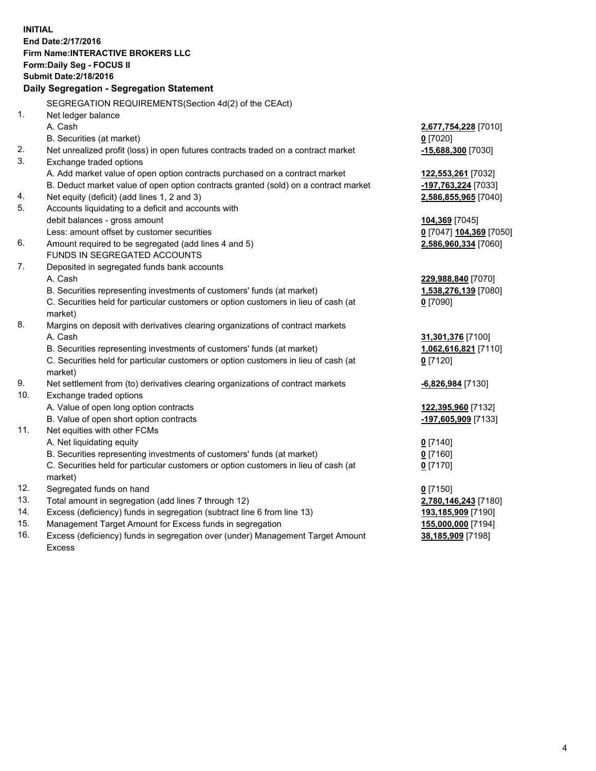**INITIAL End Date:2/17/2016 Firm Name:INTERACTIVE BROKERS LLC Form:Daily Seg - FOCUS II Submit Date:2/18/2016 Daily Segregation - Segregation Statement** SEGREGATION REQUIREMENTS(Section 4d(2) of the CEAct) 1. Net ledger balance A. Cash **2,677,754,228** [7010] B. Securities (at market) **0** [7020] 2. Net unrealized profit (loss) in open futures contracts traded on a contract market **-15,688,300** [7030] 3. Exchange traded options A. Add market value of open option contracts purchased on a contract market **122,553,261** [7032] B. Deduct market value of open option contracts granted (sold) on a contract market **-197,763,224** [7033] 4. Net equity (deficit) (add lines 1, 2 and 3) **2,586,855,965** [7040] 5. Accounts liquidating to a deficit and accounts with debit balances - gross amount **104,369** [7045] Less: amount offset by customer securities **0** [7047] **104,369** [7050] 6. Amount required to be segregated (add lines 4 and 5) **2,586,960,334** [7060] FUNDS IN SEGREGATED ACCOUNTS 7. Deposited in segregated funds bank accounts A. Cash **229,988,840** [7070] B. Securities representing investments of customers' funds (at market) **1,538,276,139** [7080] C. Securities held for particular customers or option customers in lieu of cash (at market) **0** [7090] 8. Margins on deposit with derivatives clearing organizations of contract markets A. Cash **31,301,376** [7100] B. Securities representing investments of customers' funds (at market) **1,062,616,821** [7110] C. Securities held for particular customers or option customers in lieu of cash (at market) **0** [7120] 9. Net settlement from (to) derivatives clearing organizations of contract markets **-6,826,984** [7130] 10. Exchange traded options A. Value of open long option contracts **122,395,960** [7132] B. Value of open short option contracts **-197,605,909** [7133] 11. Net equities with other FCMs A. Net liquidating equity **0** [7140] B. Securities representing investments of customers' funds (at market) **0** [7160] C. Securities held for particular customers or option customers in lieu of cash (at market) **0** [7170] 12. Segregated funds on hand **0** [7150] 13. Total amount in segregation (add lines 7 through 12) **2,780,146,243** [7180] 14. Excess (deficiency) funds in segregation (subtract line 6 from line 13) **193,185,909** [7190] 15. Management Target Amount for Excess funds in segregation **155,000,000** [7194] 16. Excess (deficiency) funds in segregation over (under) Management Target Amount **38,185,909** [7198]

Excess